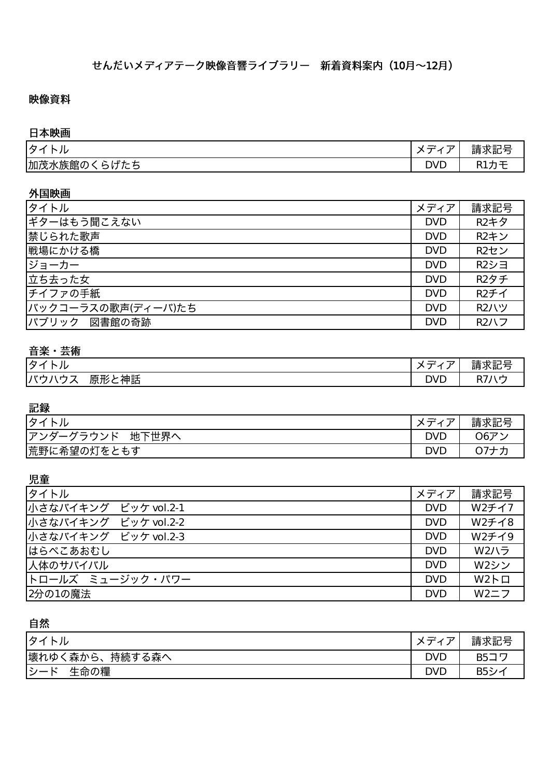### 映像資料

#### 日本映画

| タ<br>╭<br>r<br>ノレ                                                                            | $-$<br>_<br>- 12<br>__                      | $\sim$ $-$<br>$-+$<br>_<br>ヽレ゠<br>詴<br>はいに<br>$\overline{a}$<br>- 11 |
|----------------------------------------------------------------------------------------------|---------------------------------------------|----------------------------------------------------------------------|
| <b>P</b> 4<br> 加茂水<br>≮族館≀<br>$\cdot$<br>$T =$<br>-<br>∽<br>◡<br>$\sim$ $\sim$<br>$\tilde{}$ | Ċ<br>$\overline{\phantom{0}}$<br><b>DAD</b> | -<br>. .                                                             |

#### 外国映画

| タイトル               | メディア       | 請求記号        |
|--------------------|------------|-------------|
| ギターはもう聞こえない        | <b>DVD</b> | <b>R2キタ</b> |
| 禁じられた歌声            | <b>DVD</b> | R2キン        |
| 戦場にかける橋            | <b>DVD</b> | R2セン        |
| ジョーカー              | <b>DVD</b> | R2シヨ        |
| 立ち去った女             | <b>DVD</b> | R2タチ        |
| チイファの手紙            | <b>DVD</b> | R2チイ        |
| バックコーラスの歌声(ディーバ)たち | <b>DVD</b> | <b>R2ハツ</b> |
| ハブリック 図書館の奇跡       | <b>DVD</b> | R2/V7       |

## 音楽・芸術

| ゟ<br>ノレ<br>╭                       | $\overline{\phantom{0}}$<br>—<br>╭                  | ᆂᆂ<br>$    -$<br>三吉 ゾン 三己<br>明小礼          |
|------------------------------------|-----------------------------------------------------|-------------------------------------------|
| 神話<br>1614<br>_<br>_<br>.<br> 尻形と1 | $\bigcap$<br>$\overline{\phantom{0}}$<br><b>DAD</b> | $\mathbf{r}$<br>$\sim$ $\rightarrow$<br>◡ |

#### 記録

| -11<br>⊣々○<br>ル              | $\overline{\phantom{0}}$<br>__ | -<br>請求記号                 |
|------------------------------|--------------------------------|---------------------------|
| $\cdots$<br>د م<br>地下世界<br>ᅲ | <b>DVD</b>                     | $\overline{v}$<br>$\Im 6$ |
| 荒野<br>野に希望の灯をと<br>ともす        | <b>DVL</b>                     | -                         |

児童

| <b> タイトル</b>         | メディア丨      | 請求記号      |
|----------------------|------------|-----------|
| 小さなバイキング ビッケ vol.2-1 | <b>DVD</b> | W2チイ7     |
| 小さなバイキング ビッケ vol.2-2 | <b>DVD</b> | W2チイ8     |
| 小さなバイキング ビッケ vol.2-3 | <b>DVD</b> | W2チイ9     |
| はらぺこあおむし             | <b>DVD</b> | W2ハラ      |
| 人体のサバイバル             | <b>DVD</b> | W2シン      |
| トロールズ ミュージック・パワー     | <b>DVD</b> | $W2F\Box$ |
| 2分の1の魔法              | <b>DVD</b> | W2ZZ      |

## 自然

| タイトル                       | $\mathsf{v}$ $\mathsf{v}$<br>ᅲ | 請求記号        |
|----------------------------|--------------------------------|-------------|
| 壊れゆく<br>森から、<br>持続する森へ     | <b>DVD</b>                     | <b>B5コワ</b> |
| シー<br>生命の糧<br>$\mathbf{v}$ | <b>DVD</b>                     | B5シ -       |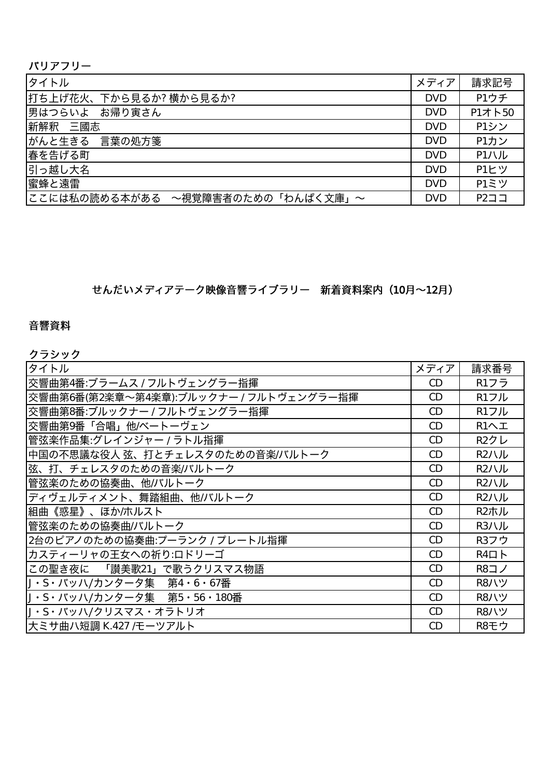| <b> タイトル</b>                                  | メディア丨      | 請求記号   |
|-----------------------------------------------|------------|--------|
| 打ち上げ花火、下から見るか? 横から見るか?                        | <b>DVD</b> | P1ウチ   |
| 男はつらいよ お帰り寅さん                                 | <b>DVD</b> | P1オト50 |
| 新解釈 三國志                                       | <b>DVD</b> | P1シン   |
| がんと生きる 言葉の処方箋                                 | <b>DVD</b> | P1カン   |
| 春を告げる町                                        | <b>DVD</b> | P1ハル   |
| 引っ越し大名                                        | <b>DVD</b> | P1ヒツ   |
| 蜜蜂と遠雷                                         | <b>DVD</b> | P1ミツ   |
| ここには私の読める本がある<br>~視覚障害者のための「わんぱく文庫」<br>$\sim$ | <b>DVD</b> | P2JJ   |

せんだいメディアテーク映像音響ライブラリー 新着資料案内 (10月~12月)

## 音響資料

クラシック

| タイトル                                   | メディア | 請求番号        |
|----------------------------------------|------|-------------|
| 交響曲第4番:ブラームス / フルトヴェングラー指揮             | CD   | R1フラ        |
| 交響曲第6番(第2楽章~第4楽章):ブルックナー / フルトヴェングラー指揮 | CD   | R1フル        |
| 交響曲第8番:ブルックナー / フルトヴェングラー指揮            | CD   | R1フル        |
| 交響曲第9番「合唱」他/ベートーヴェン                    | CD   | R1へエ        |
| 管弦楽作品集:グレインジャー / ラトル指揮                 | CD   | R2クレ        |
| 中国の不思議な役人 弦、打とチェレスタのための音楽/バルトーク        | CD   | R2/V/L      |
| 弦、打、チェレスタのための音楽/バルトーク                  | CD   | R2ハル        |
| 管弦楽のための協奏曲、他/バルトーク                     | CD   | R2/V/L      |
| ディヴェルティメント、舞踏組曲、他/バルトーク                | CD   | R2/V/L      |
| 組曲《惑星》、ほか/ホルスト                         | CD   | R2ホル        |
| 管弦楽のための協奏曲/バルトーク                       | CD   | R3ハル        |
| 2台のピアノのための協奏曲:プーランク / プレートル指揮          | CD   | R3フウ        |
| カスティーリャの王女への祈り:ロドリーゴ                   | CD   | $R4\Box$    |
| この聖き夜に 「讃美歌21」で歌うクリスマス物語               | CD   | <b>R8コノ</b> |
| J・S・バッハ/カンタータ集 第4・6・67番                | CD   | <b>R8ハツ</b> |
| J・S・バッハ/カンタータ集 第5・56・180番              | CD   | <b>R8ハツ</b> |
| J・S・バッハ/クリスマス・オラトリオ                    | CD   | <b>R8ハツ</b> |
| 大ミサ曲ハ短調 K.427 /モーツアルト                  | CD   | R8モウ        |